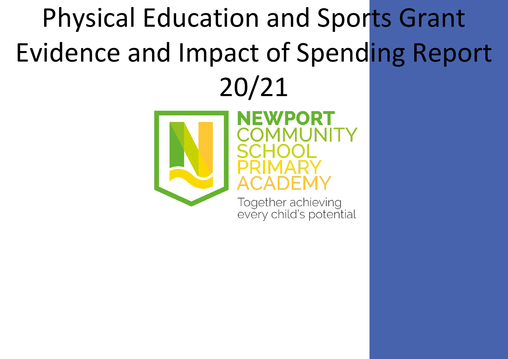## Physical Education and Sports Grant Evidence and Impact of Spending Report 20/21



every child's potential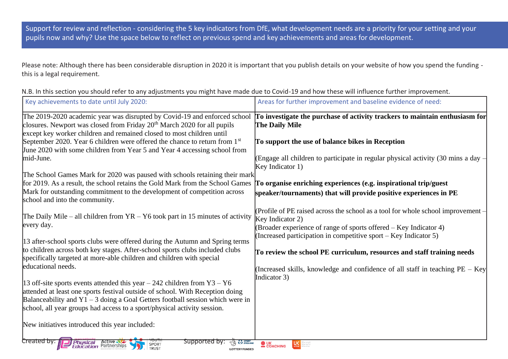Support for review and reflection - considering the 5 key indicators from DfE, what development needs are a priority for your setting and your pupils now and why? Use the space below to reflect on previous spend and key achievements and areas for development.

Please note: Although there has been considerable disruption in 2020 it is important that you publish details on your website of how you spend the funding this is a legal requirement.

| N.B. In this section you should refer to any adjustments you might have made due to Covid-19 and how these will influence further improvement. |  |  |  |
|------------------------------------------------------------------------------------------------------------------------------------------------|--|--|--|
|------------------------------------------------------------------------------------------------------------------------------------------------|--|--|--|

| Key achievements to date until July 2020:                                                                                                                                                                                                                                                                                   | Areas for further improvement and baseline evidence of need:                                                                                                              |
|-----------------------------------------------------------------------------------------------------------------------------------------------------------------------------------------------------------------------------------------------------------------------------------------------------------------------------|---------------------------------------------------------------------------------------------------------------------------------------------------------------------------|
| The 2019-2020 academic year was disrupted by Covid-19 and enforced school<br>closures. Newport was closed from Friday 20 <sup>th</sup> March 2020 for all pupils<br>except key worker children and remained closed to most children until                                                                                   | To investigate the purchase of activity trackers to maintain enthusiasm for<br><b>The Daily Mile</b>                                                                      |
| September 2020. Year 6 children were offered the chance to return from $1st$<br>June 2020 with some children from Year 5 and Year 4 accessing school from                                                                                                                                                                   | To support the use of balance bikes in Reception                                                                                                                          |
| mid-June.<br>The School Games Mark for 2020 was paused with schools retaining their mark                                                                                                                                                                                                                                    | (Engage all children to participate in regular physical activity (30 mins a day -<br>Key Indicator 1)                                                                     |
| for 2019. As a result, the school retains the Gold Mark from the School Games<br>Mark for outstanding commitment to the development of competition across<br>school and into the community.                                                                                                                                 | To organise enriching experiences (e.g. inspirational trip/guest<br>speaker/tournaments) that will provide positive experiences in PE                                     |
| The Daily Mile – all children from $YR - Y6$ took part in 15 minutes of activity<br>every day.                                                                                                                                                                                                                              | (Profile of PE raised across the school as a tool for whole school improvement –<br>Key Indicator 2)<br>(Broader experience of range of sports offered – Key Indicator 4) |
| 13 after-school sports clubs were offered during the Autumn and Spring terms<br>to children across both key stages. After-school sports clubs included clubs<br>specifically targeted at more-able children and children with special                                                                                       | (Increased participation in competitive sport – Key Indicator 5)<br>To review the school PE curriculum, resources and staff training needs                                |
| educational needs.                                                                                                                                                                                                                                                                                                          | (Increased skills, knowledge and confidence of all staff in teaching $PE - Key$<br>Indicator 3)                                                                           |
| 13 off-site sports events attended this year $-242$ children from Y3 $-$ Y6<br>attended at least one sports festival outside of school. With Reception doing<br>Balanceability and $Y1 - 3$ doing a Goal Getters football session which were in<br>school, all year groups had access to a sport/physical activity session. |                                                                                                                                                                           |
| New initiatives introduced this year included:                                                                                                                                                                                                                                                                              |                                                                                                                                                                           |
| Created by:<br>supported by:<br><b>Physical Active M2</b><br><b>Education</b> Partnerships<br><b>ENGLAND</b><br>SPORT<br><b>TRUST</b>                                                                                                                                                                                       | $\bullet$ UK<br>COACHING                                                                                                                                                  |

**LOTTERY FUNDED**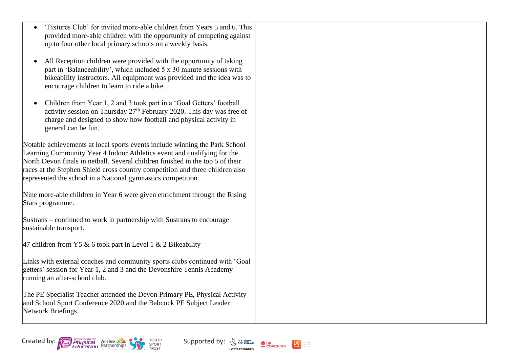| 'Fixtures Club' for invited more-able children from Years 5 and 6. This                                                                                                                                                                                                                                                                                                                   |  |
|-------------------------------------------------------------------------------------------------------------------------------------------------------------------------------------------------------------------------------------------------------------------------------------------------------------------------------------------------------------------------------------------|--|
| provided more-able children with the opportunity of competing against<br>up to four other local primary schools on a weekly basis.                                                                                                                                                                                                                                                        |  |
|                                                                                                                                                                                                                                                                                                                                                                                           |  |
| All Reception children were provided with the opportunity of taking<br>part in 'Balanceability', which included 5 x 30 minute sessions with<br>bikeability instructors. All equipment was provided and the idea was to<br>encourage children to learn to ride a bike.                                                                                                                     |  |
| Children from Year 1, 2 and 3 took part in a 'Goal Getters' football<br>activity session on Thursday $27th$ February 2020. This day was free of<br>charge and designed to show how football and physical activity in<br>general can be fun.                                                                                                                                               |  |
| Notable achievements at local sports events include winning the Park School<br>Learning Community Year 4 Indoor Athletics event and qualifying for the<br>North Devon finals in netball. Several children finished in the top 5 of their<br>races at the Stephen Shield cross country competition and three children also<br>represented the school in a National gymnastics competition. |  |
| Nine more-able children in Year 6 were given enrichment through the Rising<br>Stars programme.                                                                                                                                                                                                                                                                                            |  |
| Sustrans – continued to work in partnership with Sustrans to encourage<br>sustainable transport.                                                                                                                                                                                                                                                                                          |  |
| 47 children from Y5 & 6 took part in Level 1 & 2 Bikeability                                                                                                                                                                                                                                                                                                                              |  |
| Links with external coaches and community sports clubs continued with 'Goal<br>getters' session for Year 1, 2 and 3 and the Devonshire Tennis Academy<br>running an after-school club.                                                                                                                                                                                                    |  |
| The PE Specialist Teacher attended the Devon Primary PE, Physical Activity<br>and School Sport Conference 2020 and the Babcock PE Subject Leader<br>Network Briefings.                                                                                                                                                                                                                    |  |
|                                                                                                                                                                                                                                                                                                                                                                                           |  |



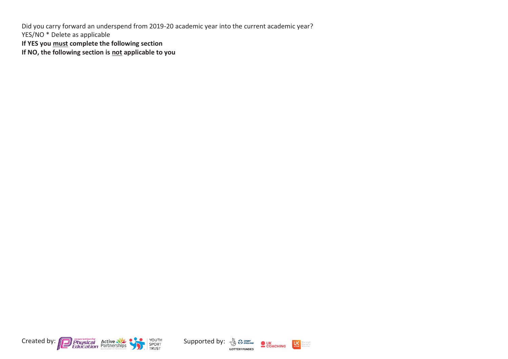Did you carry forward an underspend from 2019-20 academic year into the current academic year? YES/NO \* Delete as applicable **If YES you must complete the following section**

**If NO, the following section is not applicable to you**





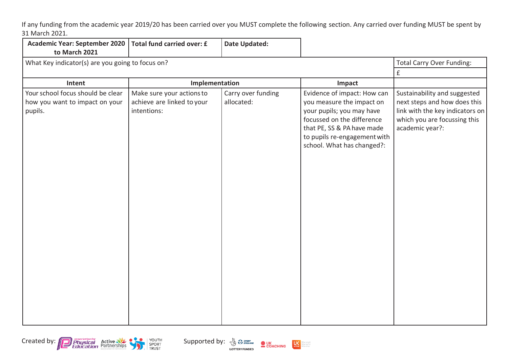If any funding from the academic year 2019/20 has been carried over you MUST complete the following section. Any carried over funding MUST be spent by 31 March 2021.

| <b>Academic Year: September 2020</b><br>to March 2021                          | Total fund carried over: £                                             | <b>Date Updated:</b>             |                                                                                                                                                                                                                 |                                                                                                                                                    |
|--------------------------------------------------------------------------------|------------------------------------------------------------------------|----------------------------------|-----------------------------------------------------------------------------------------------------------------------------------------------------------------------------------------------------------------|----------------------------------------------------------------------------------------------------------------------------------------------------|
| What Key indicator(s) are you going to focus on?                               | <b>Total Carry Over Funding:</b>                                       |                                  |                                                                                                                                                                                                                 |                                                                                                                                                    |
|                                                                                |                                                                        |                                  |                                                                                                                                                                                                                 | £                                                                                                                                                  |
| Intent                                                                         | Implementation                                                         |                                  | Impact                                                                                                                                                                                                          |                                                                                                                                                    |
| Your school focus should be clear<br>how you want to impact on your<br>pupils. | Make sure your actions to<br>achieve are linked to your<br>intentions: | Carry over funding<br>allocated: | Evidence of impact: How can<br>you measure the impact on<br>your pupils; you may have<br>focussed on the difference<br>that PE, SS & PA have made<br>to pupils re-engagement with<br>school. What has changed?: | Sustainability and suggested<br>next steps and how does this<br>link with the key indicators on<br>which you are focussing this<br>academic year?: |







orepeople<br>oreactive<br>oreaften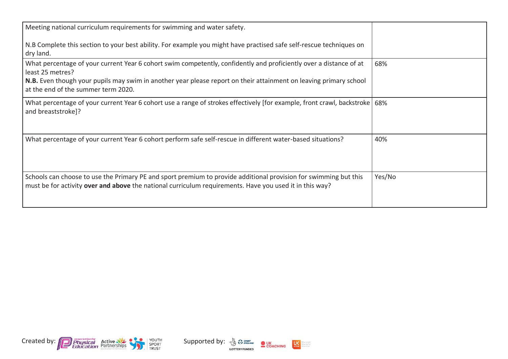| Meeting national curriculum requirements for swimming and water safety.                                                                                                                                                     |        |
|-----------------------------------------------------------------------------------------------------------------------------------------------------------------------------------------------------------------------------|--------|
| N.B Complete this section to your best ability. For example you might have practised safe self-rescue techniques on<br>dry land.                                                                                            |        |
| What percentage of your current Year 6 cohort swim competently, confidently and proficiently over a distance of at<br>least 25 metres?                                                                                      | 68%    |
| N.B. Even though your pupils may swim in another year please report on their attainment on leaving primary school<br>at the end of the summer term 2020.                                                                    |        |
| What percentage of your current Year 6 cohort use a range of strokes effectively [for example, front crawl, backstroke   68%<br>and breaststroke]?                                                                          |        |
| What percentage of your current Year 6 cohort perform safe self-rescue in different water-based situations?                                                                                                                 | 40%    |
| Schools can choose to use the Primary PE and sport premium to provide additional provision for swimming but this<br>must be for activity over and above the national curriculum requirements. Have you used it in this way? | Yes/No |



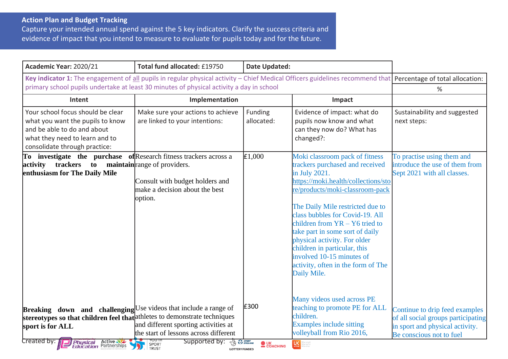## **Action Plan and Budget Tracking**

Capture your intended annual spend against the 5 key indicators. Clarify the success criteria and evidence of impact that you intend to measure to evaluate for pupils today and for the future.

| Academic Year: 2020/21                                                                                                                                                                                                                                    | Total fund allocated: £19750                                                                                                       | <b>Date Updated:</b>           |                                                                                                                                                                                                                                                                                                                                                                                                                                                              |                                                                                                                                     |
|-----------------------------------------------------------------------------------------------------------------------------------------------------------------------------------------------------------------------------------------------------------|------------------------------------------------------------------------------------------------------------------------------------|--------------------------------|--------------------------------------------------------------------------------------------------------------------------------------------------------------------------------------------------------------------------------------------------------------------------------------------------------------------------------------------------------------------------------------------------------------------------------------------------------------|-------------------------------------------------------------------------------------------------------------------------------------|
| Key indicator 1: The engagement of all pupils in regular physical activity – Chief Medical Officers guidelines recommend that Percentage of total allocation:<br>primary school pupils undertake at least 30 minutes of physical activity a day in school | %                                                                                                                                  |                                |                                                                                                                                                                                                                                                                                                                                                                                                                                                              |                                                                                                                                     |
| Intent                                                                                                                                                                                                                                                    | Implementation                                                                                                                     |                                | Impact                                                                                                                                                                                                                                                                                                                                                                                                                                                       |                                                                                                                                     |
| Your school focus should be clear<br>what you want the pupils to know<br>and be able to do and about<br>what they need to learn and to<br>consolidate through practice:                                                                                   | Make sure your actions to achieve<br>are linked to your intentions:                                                                | Funding<br>allocated:          | Evidence of impact: what do<br>pupils now know and what<br>can they now do? What has<br>changed?:                                                                                                                                                                                                                                                                                                                                                            | Sustainability and suggested<br>next steps:                                                                                         |
| To investigate the purchase of Research fitness trackers across a<br>trackers to<br>activity<br>enthusiasm for The Daily Mile                                                                                                                             | maintain range of providers.<br>Consult with budget holders and<br>make a decision about the best<br>option.                       | E1,000                         | Moki classroom pack of fitness<br>trackers purchased and received<br>in July 2021.<br>https://moki.health/collections/sto<br>re/products/moki-classroom-pack<br>The Daily Mile restricted due to<br>class bubbles for Covid-19. All<br>children from $YR - Y6$ tried to<br>take part in some sort of daily<br>physical activity. For older<br>children in particular, this<br>involved 10-15 minutes of<br>activity, often in the form of The<br>Daily Mile. | To practise using them and<br>introduce the use of them from<br>Sept 2021 with all classes.                                         |
| <b>Breaking</b> down and challenging $\bigcup$ se videos that include a range of<br>stereotypes so that children feel that at a the techniques<br>sport is for ALL<br>Created by:<br><b>Physical Active</b><br><b>Education</b> Partnerships              | and different sporting activities at<br>the start of lessons across different<br>Supported by:<br><b>ENGLAND</b><br>SPORT<br>TRUST | £300<br><b>OUK</b><br>COACHING | Many videos used across PE<br>teaching to promote PE for ALL<br>children.<br><b>Examples include sitting</b><br>volleyball from Rio 2016,<br>$U\zeta$                                                                                                                                                                                                                                                                                                        | Continue to drip feed examples<br>of all social groups participating<br>in sport and physical activity.<br>Be conscious not to fuel |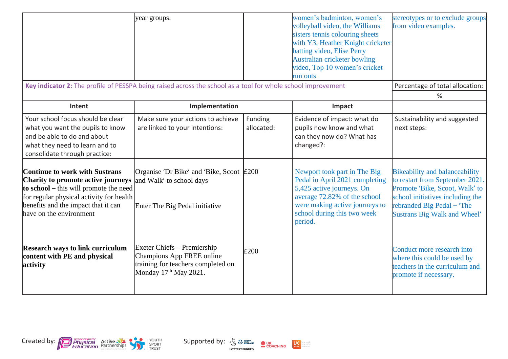| Key indicator 2: The profile of PESSPA being raised across the school as a tool for whole school improvement                                                                                                                        | year groups.                                                                                                              |                       | women's badminton, women's<br>volleyball video, the Williams<br>sisters tennis colouring sheets<br>with Y3, Heather Knight cricketer<br>batting video, Elise Perry<br><b>Australian cricketer bowling</b><br>video, Top 10 women's cricket<br>run outs | stereotypes or to exclude groups<br>from video examples.                                                                                                                                                            |
|-------------------------------------------------------------------------------------------------------------------------------------------------------------------------------------------------------------------------------------|---------------------------------------------------------------------------------------------------------------------------|-----------------------|--------------------------------------------------------------------------------------------------------------------------------------------------------------------------------------------------------------------------------------------------------|---------------------------------------------------------------------------------------------------------------------------------------------------------------------------------------------------------------------|
|                                                                                                                                                                                                                                     |                                                                                                                           |                       |                                                                                                                                                                                                                                                        | Percentage of total allocation:<br>%                                                                                                                                                                                |
| Intent                                                                                                                                                                                                                              | Implementation                                                                                                            |                       | Impact                                                                                                                                                                                                                                                 |                                                                                                                                                                                                                     |
| Your school focus should be clear<br>what you want the pupils to know<br>and be able to do and about<br>what they need to learn and to<br>consolidate through practice:                                                             | Make sure your actions to achieve<br>are linked to your intentions:                                                       | Funding<br>allocated: | Evidence of impact: what do<br>pupils now know and what<br>can they now do? What has<br>changed?:                                                                                                                                                      | Sustainability and suggested<br>next steps:                                                                                                                                                                         |
| <b>Continue to work with Sustrans</b><br>Charity to promote active journeys<br>to school – this will promote the need<br>for regular physical activity for health<br>benefits and the impact that it can<br>have on the environment | Organise 'Dr Bike' and 'Bike, Scoot £200<br>and Walk' to school days<br>Enter The Big Pedal initiative                    |                       | Newport took part in The Big<br>Pedal in April 2021 completing<br>5,425 active journeys. On<br>average 72.82% of the school<br>were making active journeys to<br>school during this two week<br>period.                                                | <b>Bikeability and balanceability</b><br>to restart from September 2021.<br>Promote 'Bike, Scoot, Walk' to<br>school initiatives including the<br>rebranded Big Pedal - 'The<br><b>Sustrans Big Walk and Wheel'</b> |
| <b>Research ways to link curriculum</b><br>content with PE and physical<br>activity                                                                                                                                                 | Exeter Chiefs – Premiership<br>Champions App FREE online<br>training for teachers completed on<br>Monday $17th$ May 2021. | E200                  |                                                                                                                                                                                                                                                        | Conduct more research into<br>where this could be used by<br>teachers in the curriculum and<br>promote if necessary.                                                                                                |



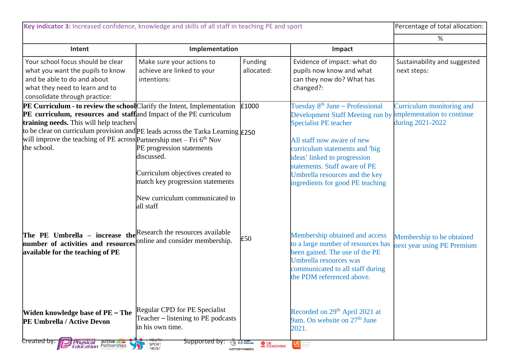| Key indicator 3: Increased confidence, knowledge and skills of all staff in teaching PE and sport                                                                                                                                                                                                                                                                              |                                                                                                                                                                |                            |                                                                                                                                                                                                                                                                                                                        | Percentage of total allocation:                                             |
|--------------------------------------------------------------------------------------------------------------------------------------------------------------------------------------------------------------------------------------------------------------------------------------------------------------------------------------------------------------------------------|----------------------------------------------------------------------------------------------------------------------------------------------------------------|----------------------------|------------------------------------------------------------------------------------------------------------------------------------------------------------------------------------------------------------------------------------------------------------------------------------------------------------------------|-----------------------------------------------------------------------------|
|                                                                                                                                                                                                                                                                                                                                                                                |                                                                                                                                                                |                            |                                                                                                                                                                                                                                                                                                                        | %                                                                           |
| Intent                                                                                                                                                                                                                                                                                                                                                                         | Implementation                                                                                                                                                 |                            | Impact                                                                                                                                                                                                                                                                                                                 |                                                                             |
| Your school focus should be clear<br>what you want the pupils to know<br>and be able to do and about<br>what they need to learn and to<br>consolidate through practice:                                                                                                                                                                                                        | Make sure your actions to<br>achieve are linked to your<br>intentions:                                                                                         | Funding<br>allocated:      | Evidence of impact: what do<br>pupils now know and what<br>can they now do? What has<br>changed?:                                                                                                                                                                                                                      | Sustainability and suggested<br>next steps:                                 |
| PE Curriculum - to review the school Clarify the Intent, Implementation<br>PE curriculum, resources and staff and Impact of the PE curriculum<br>training needs. This will help teachers<br>to be clear on curriculum provision and PE leads across the Tarka Learning $\epsilon$ 250<br>will improve the teaching of PE across Partnership met - Fri $6th$ Nov<br>the school. | PE progression statements<br>discussed.<br>Curriculum objectives created to<br>match key progression statements<br>New curriculum communicated to<br>all staff | £1000                      | Tuesday 8 <sup>th</sup> June – Professional<br>Development Staff Meeting run by<br><b>Specialist PE</b> teacher<br>All staff now aware of new<br>curriculum statements and 'big<br>ideas' linked to progression<br>statements. Staff aware of PE<br>Umbrella resources and the key<br>ingredients for good PE teaching | Curriculum monitoring and<br>implementation to continue<br>during 2021-2022 |
| The PE Umbrella - increase the<br>number of activities and resources online and consider membership.<br>available for the teaching of PE                                                                                                                                                                                                                                       | Research the resources available                                                                                                                               | £50                        | Membership obtained and access<br>to a large number of resources has<br>been gained. The use of the PE<br>Umbrella resources was<br>communicated to all staff during<br>the PDM referenced above.                                                                                                                      | Membership to be obtained<br>next year using PE Premium                     |
| Widen knowledge base of PE - The<br>PE Umbrella / Active Devon<br>Created by:<br>Physical Active<br>Education <sup>Partnerships</sup>                                                                                                                                                                                                                                          | Regular CPD for PE Specialist<br>Teacher – listening to PE podcasts<br>in his own time.<br>Supported by:<br>SPORT<br>TRUST                                     | <b>DESPORT</b><br>COACHING | Recorded on 29 <sup>th</sup> April 2021 at<br>9am. On website on 27 <sup>th</sup> June<br>2021.<br>U <sub>setive</sub>                                                                                                                                                                                                 |                                                                             |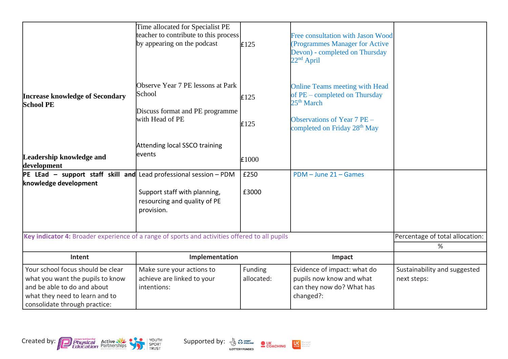|                                                                                                                                                                         | Time allocated for Specialist PE<br>teacher to contribute to this process<br>by appearing on the podcast | E125                  | Free consultation with Jason Wood<br>(Programmes Manager for Active<br>Devon) - completed on Thursday<br>$22nd$ April                                                           |                                             |
|-------------------------------------------------------------------------------------------------------------------------------------------------------------------------|----------------------------------------------------------------------------------------------------------|-----------------------|---------------------------------------------------------------------------------------------------------------------------------------------------------------------------------|---------------------------------------------|
| <b>Increase knowledge of Secondary</b><br><b>School PE</b>                                                                                                              | Observe Year 7 PE lessons at Park<br>School<br>Discuss format and PE programme<br>with Head of PE        | E125<br>£125          | <b>Online Teams meeting with Head</b><br>of PE – completed on Thursday<br>25 <sup>th</sup> March<br>Observations of Year $7$ PE $-$<br>completed on Friday 28 <sup>th</sup> May |                                             |
| Leadership knowledge and<br>development                                                                                                                                 | Attending local SSCO training<br>events                                                                  | £1000                 |                                                                                                                                                                                 |                                             |
| PE LEad - support staff skill and                                                                                                                                       | Lead professional session - PDM                                                                          | £250                  | $PDM - June 21 - Games$                                                                                                                                                         |                                             |
| knowledge development                                                                                                                                                   | Support staff with planning,<br>resourcing and quality of PE<br>provision.                               | £3000                 |                                                                                                                                                                                 |                                             |
| Key indicator 4: Broader experience of a range of sports and activities offered to all pupils                                                                           |                                                                                                          |                       |                                                                                                                                                                                 | Percentage of total allocation:             |
|                                                                                                                                                                         |                                                                                                          |                       |                                                                                                                                                                                 | %                                           |
| Intent                                                                                                                                                                  | Implementation                                                                                           |                       | Impact                                                                                                                                                                          |                                             |
| Your school focus should be clear<br>what you want the pupils to know<br>and be able to do and about<br>what they need to learn and to<br>consolidate through practice: | Make sure your actions to<br>achieve are linked to your<br>intentions:                                   | Funding<br>allocated: | Evidence of impact: what do<br>pupils now know and what<br>can they now do? What has<br>changed?:                                                                               | Sustainability and suggested<br>next steps: |



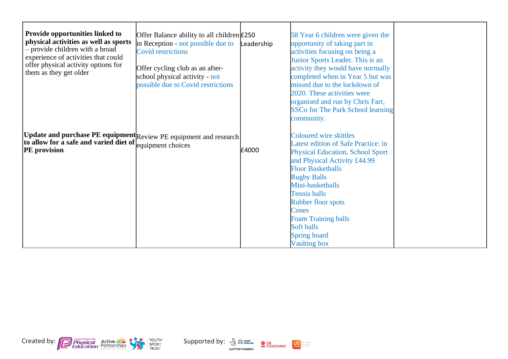| <b>Provide opportunities linked to</b><br>physical activities as well as sports<br>- provide children with a broad<br>experience of activities that could<br>offer physical activity options for<br>them as they get older | Offer Balance ability to all children $\pounds$ 250<br>in Reception - not possible due to<br><b>Covid restrictions</b><br>Offer cycling club as an after-<br>school physical activity - not<br>possible due to Covid restrictions | Leadership | 58 Year 6 children were given the<br>opportunity of taking part in<br>activities focusing on being a<br>Junior Sports Leader. This is an<br>activity they would have normally<br>completed when in Year 5 but was<br>missed due to the lockdown of<br>2020. These activities were<br>organised and run by Chris Farr,<br><b>SSCo for The Park School learning</b><br>community. |  |
|----------------------------------------------------------------------------------------------------------------------------------------------------------------------------------------------------------------------------|-----------------------------------------------------------------------------------------------------------------------------------------------------------------------------------------------------------------------------------|------------|---------------------------------------------------------------------------------------------------------------------------------------------------------------------------------------------------------------------------------------------------------------------------------------------------------------------------------------------------------------------------------|--|
| Update and purchase PE equipment Review PE equipment and research<br>to allow for a safe and varied diet of $\left  \begin{array}{cc} \text{equipment} \end{array} \right $<br><b>PE</b> provision                         |                                                                                                                                                                                                                                   | £4000      | <b>Coloured wire skittles</b><br>Latest edition of Safe Practice: in<br><b>Physical Education, School Sport</b><br>and Physical Activity £44.99<br><b>Floor Basketballs</b><br><b>Rugby Balls</b><br>Mini-basketballs<br><b>Tennis balls</b><br><b>Rubber floor spots</b><br>Cones<br><b>Foam Training balls</b><br>Soft balls<br>Spring board<br><b>Vaulting box</b>           |  |

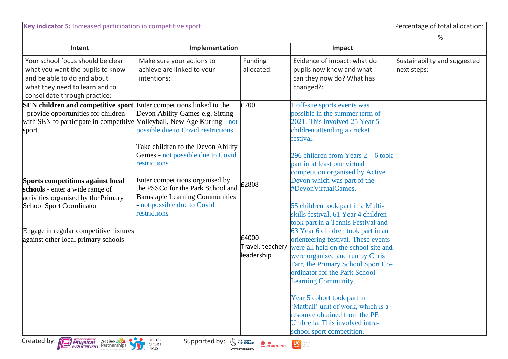| Intent<br>Your school focus should be clear<br>what you want the pupils to know<br>and be able to do and about<br>intentions:<br>what they need to learn and to<br>consolidate through practice:<br><b>SEN children and competitive sport</b> Enter competitions linked to the<br>provide opportunities for children | Implementation<br>Make sure your actions to<br>achieve are linked to your                                                                         | Funding<br>allocated:                            | Impact<br>Evidence of impact: what do<br>pupils now know and what<br>can they now do? What has                                                                                                                                                                                                                                                                                                                                                                                                                                                                                                 | %<br>Sustainability and suggested<br>next steps: |
|----------------------------------------------------------------------------------------------------------------------------------------------------------------------------------------------------------------------------------------------------------------------------------------------------------------------|---------------------------------------------------------------------------------------------------------------------------------------------------|--------------------------------------------------|------------------------------------------------------------------------------------------------------------------------------------------------------------------------------------------------------------------------------------------------------------------------------------------------------------------------------------------------------------------------------------------------------------------------------------------------------------------------------------------------------------------------------------------------------------------------------------------------|--------------------------------------------------|
|                                                                                                                                                                                                                                                                                                                      |                                                                                                                                                   |                                                  |                                                                                                                                                                                                                                                                                                                                                                                                                                                                                                                                                                                                |                                                  |
|                                                                                                                                                                                                                                                                                                                      |                                                                                                                                                   |                                                  |                                                                                                                                                                                                                                                                                                                                                                                                                                                                                                                                                                                                |                                                  |
|                                                                                                                                                                                                                                                                                                                      |                                                                                                                                                   | E700                                             | changed?:<br>off-site sports events was                                                                                                                                                                                                                                                                                                                                                                                                                                                                                                                                                        |                                                  |
| with SEN to participate in competitive Volleyball, New Age Kurling - not<br>sport<br>restrictions                                                                                                                                                                                                                    | Devon Ability Games e.g. Sitting<br>possible due to Covid restrictions<br>Take children to the Devon Ability<br>Games - not possible due to Covid |                                                  | possible in the summer term of<br>2021. This involved 25 Year 5<br>children attending a cricket<br>festival.<br>296 children from Years $2 - 6$ took<br>part in at least one virtual<br>competition organised by Active                                                                                                                                                                                                                                                                                                                                                                        |                                                  |
| <b>Sports competitions against local</b><br>schools - enter a wide range of<br>activities organised by the Primary<br><b>School Sport Coordinator</b><br>restrictions<br>Engage in regular competitive fixtures<br>against other local primary schools                                                               | Enter competitions organised by<br>the PSSCo for the Park School and<br><b>Barnstaple Learning Communities</b><br>not possible due to Covid       | £2808<br>£4000<br>Travel, teacher/<br>leadership | Devon which was part of the<br>#DevonVirtualGames.<br>55 children took part in a Multi-<br>skills festival, 61 Year 4 children<br>took part in a Tennis Festival and<br>63 Year 6 children took part in an<br>orienteering festival. These events<br>were all held on the school site and<br>were organised and run by Chris<br>Farr, the Primary School Sport Co-<br>ordinator for the Park School<br>Learning Community.<br>Year 5 cohort took part in<br>'Matball' unit of work, which is a<br>resource obtained from the PE<br>Umbrella. This involved intra-<br>school sport competition. |                                                  |